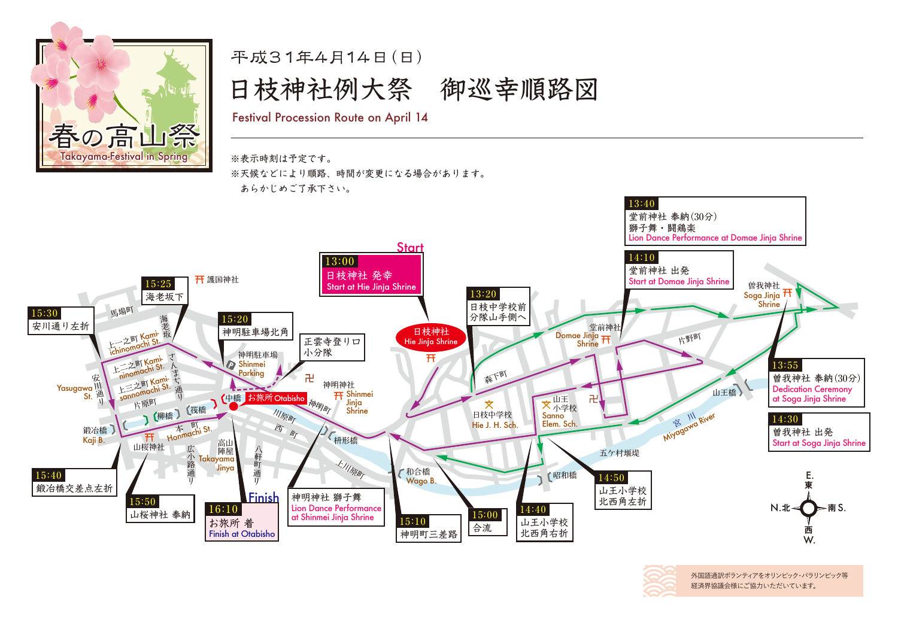

平成31年4月14日 (日) Festival Procession Route on April 14 日枝神社例大祭 御巡幸順路図

※表示時刻は予定です。 ※天候などにより順路、時間が変更になる場合があります。 あらかじめご了承下さい。